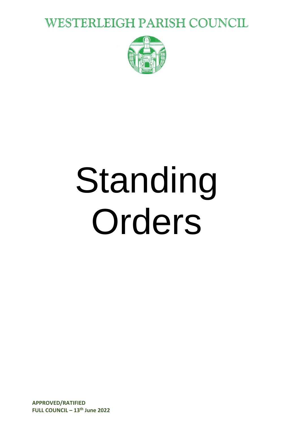**WESTERLEIGH PARISH COUNCIL** 



# Standing Orders

**APPROVED/RATIFIED FULL COUNCIL – 13 th June 2022**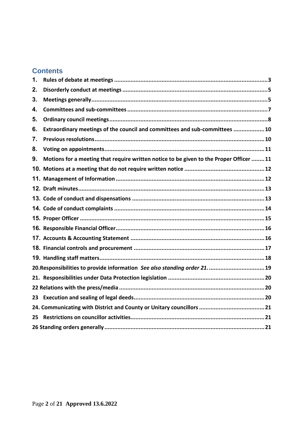#### **Contents**

| 1. |                                                                                        |
|----|----------------------------------------------------------------------------------------|
| 2. |                                                                                        |
| 3. |                                                                                        |
| 4. |                                                                                        |
| 5. |                                                                                        |
| 6. | Extraordinary meetings of the council and committees and sub-committees 10             |
| 7. |                                                                                        |
| 8. |                                                                                        |
| 9. | Motions for a meeting that require written notice to be given to the Proper Officer 11 |
|    |                                                                                        |
|    |                                                                                        |
|    |                                                                                        |
|    |                                                                                        |
|    |                                                                                        |
|    |                                                                                        |
|    |                                                                                        |
|    |                                                                                        |
|    |                                                                                        |
|    |                                                                                        |
|    | 20. Responsibilities to provide information See also standing order 21.  19            |
|    |                                                                                        |
|    |                                                                                        |
|    |                                                                                        |
| 23 |                                                                                        |
|    |                                                                                        |
| 25 |                                                                                        |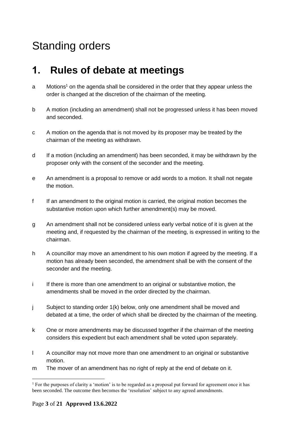# Standing orders

## <span id="page-2-0"></span>**1. Rules of debate at meetings**

- a Motions<sup>1</sup> on the agenda shall be considered in the order that they appear unless the order is changed at the discretion of the chairman of the meeting.
- b A motion (including an amendment) shall not be progressed unless it has been moved and seconded.
- c A motion on the agenda that is not moved by its proposer may be treated by the chairman of the meeting as withdrawn.
- d If a motion (including an amendment) has been seconded, it may be withdrawn by the proposer only with the consent of the seconder and the meeting.
- e An amendment is a proposal to remove or add words to a motion. It shall not negate the motion.
- f If an amendment to the original motion is carried, the original motion becomes the substantive motion upon which further amendment(s) may be moved.
- g An amendment shall not be considered unless early verbal notice of it is given at the meeting and, if requested by the chairman of the meeting, is expressed in writing to the chairman.
- h A councillor may move an amendment to his own motion if agreed by the meeting. If a motion has already been seconded, the amendment shall be with the consent of the seconder and the meeting.
- i If there is more than one amendment to an original or substantive motion, the amendments shall be moved in the order directed by the chairman.
- j Subject to standing order 1(k) below, only one amendment shall be moved and debated at a time, the order of which shall be directed by the chairman of the meeting.
- k One or more amendments may be discussed together if the chairman of the meeting considers this expedient but each amendment shall be voted upon separately.
- l A councillor may not move more than one amendment to an original or substantive motion.
- m The mover of an amendment has no right of reply at the end of debate on it.

<sup>&</sup>lt;sup>1</sup> For the purposes of clarity a 'motion' is to be regarded as a proposal put forward for agreement once it has been seconded. The outcome then becomes the 'resolution' subject to any agreed amendments.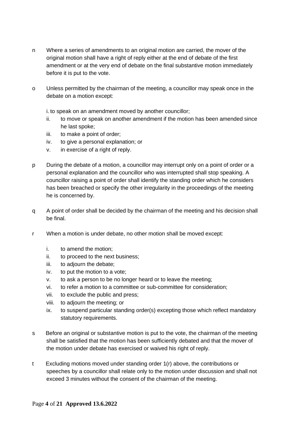- n Where a series of amendments to an original motion are carried, the mover of the original motion shall have a right of reply either at the end of debate of the first amendment or at the very end of debate on the final substantive motion immediately before it is put to the vote.
- o Unless permitted by the chairman of the meeting, a councillor may speak once in the debate on a motion except:

i. to speak on an amendment moved by another councillor;

- ii. to move or speak on another amendment if the motion has been amended since he last spoke;
- iii. to make a point of order;
- iv. to give a personal explanation; or
- v. in exercise of a right of reply.
- p During the debate of a motion, a councillor may interrupt only on a point of order or a personal explanation and the councillor who was interrupted shall stop speaking. A councillor raising a point of order shall identify the standing order which he considers has been breached or specify the other irregularity in the proceedings of the meeting he is concerned by.
- q A point of order shall be decided by the chairman of the meeting and his decision shall be final.
- r When a motion is under debate, no other motion shall be moved except:
	- i. to amend the motion;
	- ii. to proceed to the next business;
	- iii. to adjourn the debate;
	- iv. to put the motion to a vote;
	- v. to ask a person to be no longer heard or to leave the meeting;
	- vi. to refer a motion to a committee or sub-committee for consideration;
	- vii. to exclude the public and press;
	- viii. to adjourn the meeting; or
	- ix. to suspend particular standing order(s) excepting those which reflect mandatory statutory requirements.
- s Before an original or substantive motion is put to the vote, the chairman of the meeting shall be satisfied that the motion has been sufficiently debated and that the mover of the motion under debate has exercised or waived his right of reply.
- t Excluding motions moved under standing order 1(r) above, the contributions or speeches by a councillor shall relate only to the motion under discussion and shall not exceed 3 minutes without the consent of the chairman of the meeting.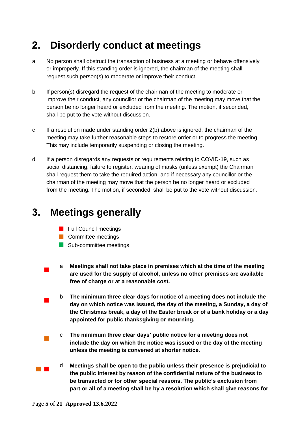# <span id="page-4-0"></span>**2. Disorderly conduct at meetings**

- a No person shall obstruct the transaction of business at a meeting or behave offensively or improperly. If this standing order is ignored, the chairman of the meeting shall request such person(s) to moderate or improve their conduct.
- b If person(s) disregard the request of the chairman of the meeting to moderate or improve their conduct, any councillor or the chairman of the meeting may move that the person be no longer heard or excluded from the meeting. The motion, if seconded, shall be put to the vote without discussion.
- c If a resolution made under standing order 2(b) above is ignored, the chairman of the meeting may take further reasonable steps to restore order or to progress the meeting. This may include temporarily suspending or closing the meeting.
- d If a person disregards any requests or requirements relating to COVID-19, such as social distancing, failure to register, wearing of masks (unless exempt) the Chairman shall request them to take the required action, and if necessary any councillor or the chairman of the meeting may move that the person be no longer heard or excluded from the meeting. The motion, if seconded, shall be put to the vote without discussion.

## <span id="page-4-1"></span>**3. Meetings generally**

- **Full Council meetings**
- **Committee meetings**
- Sub-committee meetings
- $\blacksquare$ a **Meetings shall not take place in premises which at the time of the meeting are used for the supply of alcohol, unless no other premises are available free of charge or at a reasonable cost.** 
	- b **The minimum three clear days for notice of a meeting does not include the day on which notice was issued, the day of the meeting, a Sunday, a day of the Christmas break, a day of the Easter break or of a bank holiday or a day appointed for public thanksgiving or mourning.**
	- c **The minimum three clear days' public notice for a meeting does not include the day on which the notice was issued or the day of the meeting unless the meeting is convened at shorter notice**.
- **Contract** d **Meetings shall be open to the public unless their presence is prejudicial to the public interest by reason of the confidential nature of the business to be transacted or for other special reasons. The public's exclusion from part or all of a meeting shall be by a resolution which shall give reasons for**

 $\blacksquare$ 

 $\mathbb{R}^3$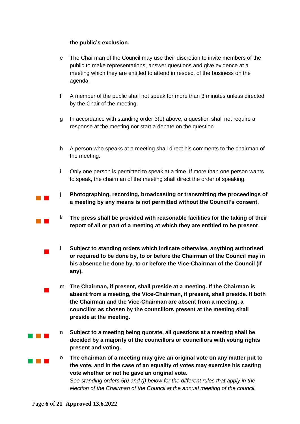#### **the public's exclusion.**

- e The Chairman of the Council may use their discretion to invite members of the public to make representations, answer questions and give evidence at a meeting which they are entitled to attend in respect of the business on the agenda.
- f A member of the public shall not speak for more than 3 minutes unless directed by the Chair of the meeting.
- g In accordance with standing order 3(e) above, a question shall not require a response at the meeting nor start a debate on the question.
- h A person who speaks at a meeting shall direct his comments to the chairman of the meeting.
- i Only one person is permitted to speak at a time. If more than one person wants to speak, the chairman of the meeting shall direct the order of speaking.
- $\mathcal{L}^{\text{max}}$ j **Photographing, recording, broadcasting or transmitting the proceedings of a meeting by any means is not permitted without the Council's consent**.
	- k **The press shall be provided with reasonable facilities for the taking of their report of all or part of a meeting at which they are entitled to be present**.
	- l **Subject to standing orders which indicate otherwise, anything authorised or required to be done by, to or before the Chairman of the Council may in his absence be done by, to or before the Vice-Chairman of the Council (if any).**
		- m **The Chairman, if present, shall preside at a meeting. If the Chairman is absent from a meeting, the Vice-Chairman, if present, shall preside. If both the Chairman and the Vice-Chairman are absent from a meeting, a councillor as chosen by the councillors present at the meeting shall preside at the meeting.**
	- n **Subject to a meeting being quorate, all questions at a meeting shall be decided by a majority of the councillors or councillors with voting rights present and voting.**
	- o **The chairman of a meeting may give an original vote on any matter put to the vote, and in the case of an equality of votes may exercise his casting vote whether or not he gave an original vote.**

*See standing orders 5(i) and (j) below for the different rules that apply in the election of the Chairman of the Council at the annual meeting of the council.*

 $\mathbb{R}^n$ 

 $\overline{\phantom{a}}$ 

 $\blacksquare$ 

and the control

a na ka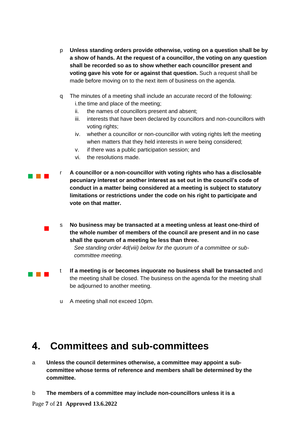- p **Unless standing orders provide otherwise, voting on a question shall be by a show of hands. At the request of a councillor, the voting on any question shall be recorded so as to show whether each councillor present and voting gave his vote for or against that question.** Such a request shall be made before moving on to the next item of business on the agenda.
- q The minutes of a meeting shall include an accurate record of the following: i.the time and place of the meeting;
	- ii. the names of councillors present and absent;
	- iii. interests that have been declared by councillors and non-councillors with voting rights;
	- iv. whether a councillor or non-councillor with voting rights left the meeting when matters that they held interests in were being considered;
	- v. if there was a public participation session; and
	- vi. the resolutions made.
- and the state r **A councillor or a non-councillor with voting rights who has a disclosable pecuniary interest or another interest as set out in the council's code of conduct in a matter being considered at a meeting is subject to statutory limitations or restrictions under the code on his right to participate and vote on that matter.**
	- s **No business may be transacted at a meeting unless at least one-third of the whole number of members of the council are present and in no case shall the quorum of a meeting be less than three.**

*See standing order 4d(viii) below for the quorum of a committee or subcommittee meeting.* 

- t **If a meeting is or becomes inquorate no business shall be transacted** and the meeting shall be closed. The business on the agenda for the meeting shall be adjourned to another meeting.
	- u A meeting shall not exceed 10pm.

## <span id="page-6-0"></span>**4. Committees and sub-committees**

- a **Unless the council determines otherwise, a committee may appoint a subcommittee whose terms of reference and members shall be determined by the committee.**
- b **The members of a committee may include non-councillors unless it is a**

 $\blacksquare$ 

and the control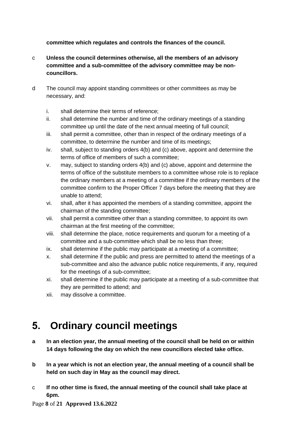#### **committee which regulates and controls the finances of the council.**

- c **Unless the council determines otherwise, all the members of an advisory committee and a sub-committee of the advisory committee may be noncouncillors.**
- d The council may appoint standing committees or other committees as may be necessary, and:
	- i. shall determine their terms of reference;
	- ii. shall determine the number and time of the ordinary meetings of a standing committee up until the date of the next annual meeting of full council;
	- iii. shall permit a committee, other than in respect of the ordinary meetings of a committee, to determine the number and time of its meetings;
	- iv. shall, subject to standing orders 4(b) and (c) above, appoint and determine the terms of office of members of such a committee;
	- v. may, subject to standing orders 4(b) and (c) above, appoint and determine the terms of office of the substitute members to a committee whose role is to replace the ordinary members at a meeting of a committee if the ordinary members of the committee confirm to the Proper Officer 7 days before the meeting that they are unable to attend;
	- vi. shall, after it has appointed the members of a standing committee, appoint the chairman of the standing committee;
	- vii. shall permit a committee other than a standing committee, to appoint its own chairman at the first meeting of the committee;
	- viii. shall determine the place, notice requirements and quorum for a meeting of a committee and a sub-committee which shall be no less than three;
	- ix. shall determine if the public may participate at a meeting of a committee;
	- x. shall determine if the public and press are permitted to attend the meetings of a sub-committee and also the advance public notice requirements, if any, required for the meetings of a sub-committee;
	- xi. shall determine if the public may participate at a meeting of a sub-committee that they are permitted to attend; and
	- xii. may dissolve a committee.

## <span id="page-7-0"></span>**5. Ordinary council meetings**

- **a In an election year, the annual meeting of the council shall be held on or within 14 days following the day on which the new councillors elected take office.**
- **b In a year which is not an election year, the annual meeting of a council shall be held on such day in May as the council may direct.**
- c **If no other time is fixed, the annual meeting of the council shall take place at 6pm.**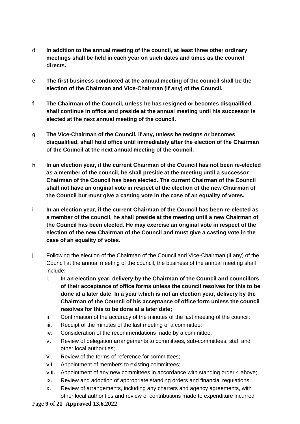- d **In addition to the annual meeting of the council, at least three other ordinary meetings shall be held in each year on such dates and times as the council directs.**
- **e The first business conducted at the annual meeting of the council shall be the election of the Chairman and Vice-Chairman (if any) of the Council.**
- **f The Chairman of the Council, unless he has resigned or becomes disqualified, shall continue in office and preside at the annual meeting until his successor is elected at the next annual meeting of the council.**
- **g The Vice-Chairman of the Council, if any, unless he resigns or becomes disqualified, shall hold office until immediately after the election of the Chairman of the Council at the next annual meeting of the council.**
- **h In an election year, if the current Chairman of the Council has not been re-elected as a member of the council, he shall preside at the meeting until a successor Chairman of the Council has been elected. The current Chairman of the Council shall not have an original vote in respect of the election of the new Chairman of the Council but must give a casting vote in the case of an equality of votes.**
- **i In an election year, if the current Chairman of the Council has been re-elected as a member of the council, he shall preside at the meeting until a new Chairman of the Council has been elected. He may exercise an original vote in respect of the election of the new Chairman of the Council and must give a casting vote in the case of an equality of votes.**
- j Following the election of the Chairman of the Council and Vice-Chairman (if any) of the Council at the annual meeting of the council, the business of the annual meeting shall include:
	- i. **In an election year, delivery by the Chairman of the Council and councillors of their acceptance of office forms unless the council resolves for this to be done at a later date**. **In a year which is not an election year, delivery by the Chairman of the Council of his acceptance of office form unless the council resolves for this to be done at a later date;**
	- ii. Confirmation of the accuracy of the minutes of the last meeting of the council;
	- iii. Receipt of the minutes of the last meeting of a committee;
	- iv. Consideration of the recommendations made by a committee;
	- v. Review of delegation arrangements to committees, sub-committees, staff and other local authorities;
	- vi. Review of the terms of reference for committees;
	- vii. Appointment of members to existing committees;
	- viii. Appointment of any new committees in accordance with standing order 4 above;
	- ix. Review and adoption of appropriate standing orders and financial regulations;
	- x. Review of arrangements, including any charters and agency agreements, with other local authorities and review of contributions made to expenditure incurred

#### Page **9** of **21 Approved 13.6.2022**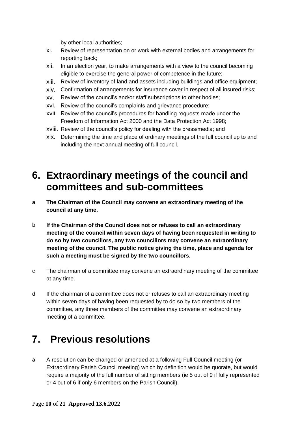by other local authorities;

- xi. Review of representation on or work with external bodies and arrangements for reporting back;
- xii. In an election year, to make arrangements with a view to the council becoming eligible to exercise the general power of competence in the future;
- xiii. Review of inventory of land and assets including buildings and office equipment;
- xiv. Confirmation of arrangements for insurance cover in respect of all insured risks;
- xv. Review of the council's and/or staff subscriptions to other bodies;
- xvi. Review of the council's complaints and grievance procedure;
- xvii. Review of the council's procedures for handling requests made under the Freedom of Information Act 2000 and the Data Protection Act 1998;
- xviii. Review of the council's policy for dealing with the press/media; and
- xix. Determining the time and place of ordinary meetings of the full council up to and including the next annual meeting of full council.

## <span id="page-9-0"></span>**6. Extraordinary meetings of the council and committees and sub-committees**

- **a The Chairman of the Council may convene an extraordinary meeting of the council at any time.**
- b **If the Chairman of the Council does not or refuses to call an extraordinary meeting of the council within seven days of having been requested in writing to do so by two councillors, any two councillors may convene an extraordinary meeting of the council. The public notice giving the time, place and agenda for such a meeting must be signed by the two councillors.**
- c The chairman of a committee may convene an extraordinary meeting of the committee at any time.
- d If the chairman of a committee does not or refuses to call an extraordinary meeting within seven days of having been requested by to do so by two members of the committee, any three members of the committee may convene an extraordinary meeting of a committee.

## <span id="page-9-1"></span>**7. Previous resolutions**

a A resolution can be changed or amended at a following Full Council meeting (or Extraordinary Parish Council meeting) which by definition would be quorate, but would require a majority of the full number of sitting members (ie 5 out of 9 if fully represented or 4 out of 6 if only 6 members on the Parish Council).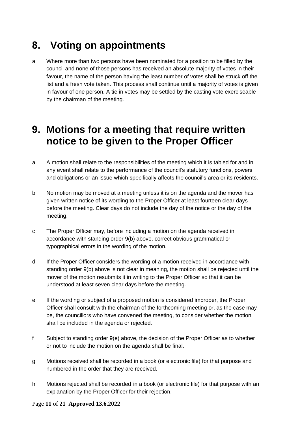# <span id="page-10-0"></span>**8. Voting on appointments**

a Where more than two persons have been nominated for a position to be filled by the council and none of those persons has received an absolute majority of votes in their favour, the name of the person having the least number of votes shall be struck off the list and a fresh vote taken. This process shall continue until a majority of votes is given in favour of one person. A tie in votes may be settled by the casting vote exerciseable by the chairman of the meeting.

## <span id="page-10-1"></span>**9. Motions for a meeting that require written notice to be given to the Proper Officer**

- a A motion shall relate to the responsibilities of the meeting which it is tabled for and in any event shall relate to the performance of the council's statutory functions, powers and obligations or an issue which specifically affects the council's area or its residents.
- b No motion may be moved at a meeting unless it is on the agenda and the mover has given written notice of its wording to the Proper Officer at least fourteen clear days before the meeting. Clear days do not include the day of the notice or the day of the meeting.
- c The Proper Officer may, before including a motion on the agenda received in accordance with standing order 9(b) above, correct obvious grammatical or typographical errors in the wording of the motion.
- d If the Proper Officer considers the wording of a motion received in accordance with standing order 9(b) above is not clear in meaning, the motion shall be rejected until the mover of the motion resubmits it in writing to the Proper Officer so that it can be understood at least seven clear days before the meeting.
- e If the wording or subject of a proposed motion is considered improper, the Proper Officer shall consult with the chairman of the forthcoming meeting or, as the case may be, the councillors who have convened the meeting, to consider whether the motion shall be included in the agenda or rejected.
- f Subject to standing order 9(e) above, the decision of the Proper Officer as to whether or not to include the motion on the agenda shall be final.
- g Motions received shall be recorded in a book (or electronic file) for that purpose and numbered in the order that they are received.
- h Motions rejected shall be recorded in a book (or electronic file) for that purpose with an explanation by the Proper Officer for their rejection.

#### Page **11** of **21 Approved 13.6.2022**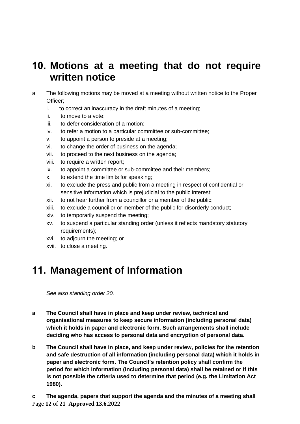## <span id="page-11-0"></span>**10. Motions at a meeting that do not require written notice**

- a The following motions may be moved at a meeting without written notice to the Proper Officer;
	- i. to correct an inaccuracy in the draft minutes of a meeting;
	- ii. to move to a vote;
	- iii. to defer consideration of a motion;
	- iv. to refer a motion to a particular committee or sub-committee;
	- v. to appoint a person to preside at a meeting;
	- vi. to change the order of business on the agenda;
	- vii. to proceed to the next business on the agenda;
	- viii. to require a written report;
	- ix. to appoint a committee or sub-committee and their members;
	- x. to extend the time limits for speaking;
	- xi. to exclude the press and public from a meeting in respect of confidential or sensitive information which is prejudicial to the public interest;
	- xii. to not hear further from a councillor or a member of the public;
	- xiii. to exclude a councillor or member of the public for disorderly conduct;
	- xiv. to temporarily suspend the meeting;
	- xv. to suspend a particular standing order (unless it reflects mandatory statutory requirements);
	- xvi. to adjourn the meeting; or
	- xvii. to close a meeting.

## <span id="page-11-1"></span>**11. Management of Information**

*See also standing order 20.*

- **a The Council shall have in place and keep under review, technical and organisational measures to keep secure information (including personal data) which it holds in paper and electronic form. Such arrangements shall include deciding who has access to personal data and encryption of personal data.**
- **b The Council shall have in place, and keep under review, policies for the retention and safe destruction of all information (including personal data) which it holds in paper and electronic form. The Council's retention policy shall confirm the period for which information (including personal data) shall be retained or if this is not possible the criteria used to determine that period (e.g. the Limitation Act 1980).**

Page **12** of **21 Approved 13.6.2022 c The agenda, papers that support the agenda and the minutes of a meeting shall**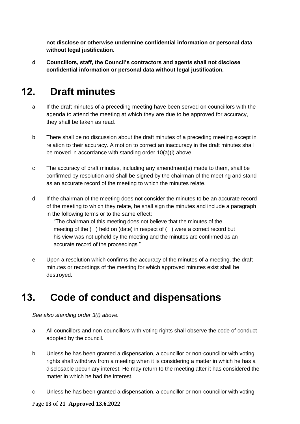**not disclose or otherwise undermine confidential information or personal data without legal justification.** 

**d Councillors, staff, the Council's contractors and agents shall not disclose confidential information or personal data without legal justification.**

# <span id="page-12-0"></span>**12. Draft minutes**

- a If the draft minutes of a preceding meeting have been served on councillors with the agenda to attend the meeting at which they are due to be approved for accuracy, they shall be taken as read.
- b There shall be no discussion about the draft minutes of a preceding meeting except in relation to their accuracy. A motion to correct an inaccuracy in the draft minutes shall be moved in accordance with standing order 10(a)(i) above.
- c The accuracy of draft minutes, including any amendment(s) made to them, shall be confirmed by resolution and shall be signed by the chairman of the meeting and stand as an accurate record of the meeting to which the minutes relate.
- d If the chairman of the meeting does not consider the minutes to be an accurate record of the meeting to which they relate, he shall sign the minutes and include a paragraph in the following terms or to the same effect:

"The chairman of this meeting does not believe that the minutes of the meeting of the ( ) held on (date) in respect of ( ) were a correct record but his view was not upheld by the meeting and the minutes are confirmed as an accurate record of the proceedings."

e Upon a resolution which confirms the accuracy of the minutes of a meeting, the draft minutes or recordings of the meeting for which approved minutes exist shall be destroyed.

## <span id="page-12-1"></span>**13. Code of conduct and dispensations**

*See also standing order 3(t) above.* 

- a All councillors and non-councillors with voting rights shall observe the code of conduct adopted by the council.
- b Unless he has been granted a dispensation, a councillor or non-councillor with voting rights shall withdraw from a meeting when it is considering a matter in which he has a disclosable pecuniary interest. He may return to the meeting after it has considered the matter in which he had the interest.
- c Unless he has been granted a dispensation, a councillor or non-councillor with voting

#### Page **13** of **21 Approved 13.6.2022**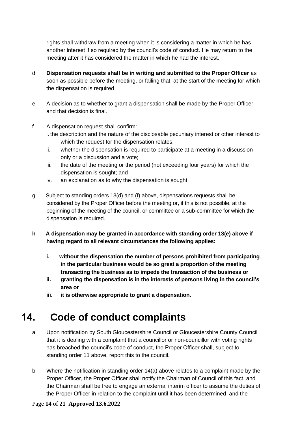rights shall withdraw from a meeting when it is considering a matter in which he has another interest if so required by the council's code of conduct. He may return to the meeting after it has considered the matter in which he had the interest.

- d **Dispensation requests shall be in writing and submitted to the Proper Officer** as soon as possible before the meeting, or failing that, at the start of the meeting for which the dispensation is required.
- e A decision as to whether to grant a dispensation shall be made by the Proper Officer and that decision is final.
- f A dispensation request shall confirm:
	- i. the description and the nature of the disclosable pecuniary interest or other interest to which the request for the dispensation relates;
	- ii. whether the dispensation is required to participate at a meeting in a discussion only or a discussion and a vote;
	- iii. the date of the meeting or the period (not exceeding four years) for which the dispensation is sought; and
	- iv. an explanation as to why the dispensation is sought.
- g Subject to standing orders 13(d) and (f) above, dispensations requests shall be considered by the Proper Officer before the meeting or, if this is not possible, at the beginning of the meeting of the council, or committee or a sub-committee for which the dispensation is required.
- **h A dispensation may be granted in accordance with standing order 13(e) above if having regard to all relevant circumstances the following applies:**
	- **i. without the dispensation the number of persons prohibited from participating in the particular business would be so great a proportion of the meeting transacting the business as to impede the transaction of the business or**
	- **ii. granting the dispensation is in the interests of persons living in the council's area or**
	- **iii. it is otherwise appropriate to grant a dispensation.**

## <span id="page-13-0"></span>**14. Code of conduct complaints**

- a Upon notification by South Gloucestershire Council or Gloucestershire County Council that it is dealing with a complaint that a councillor or non-councillor with voting rights has breached the council's code of conduct, the Proper Officer shall, subject to standing order 11 above, report this to the council.
- b Where the notification in standing order 14(a) above relates to a complaint made by the Proper Officer, the Proper Officer shall notify the Chairman of Council of this fact, and the Chairman shall be free to engage an external interim officer to assume the duties of the Proper Officer in relation to the complaint until it has been determined and the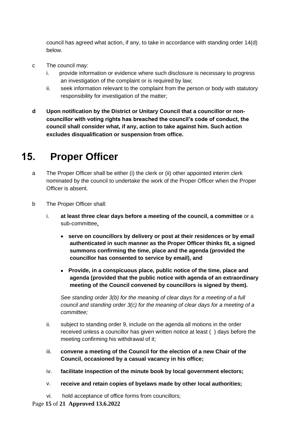council has agreed what action, if any, to take in accordance with standing order 14(d) below.

- c The council may:
	- i. provide information or evidence where such disclosure is necessary to progress an investigation of the complaint or is required by law;
	- ii. seek information relevant to the complaint from the person or body with statutory responsibility for investigation of the matter;
- **d Upon notification by the District or Unitary Council that a councillor or noncouncillor with voting rights has breached the council's code of conduct, the council shall consider what, if any, action to take against him. Such action excludes disqualification or suspension from office.**

## <span id="page-14-0"></span>**15. Proper Officer**

- a The Proper Officer shall be either (i) the clerk or (ii) other appointed interim clerk nominated by the council to undertake the work of the Proper Officer when the Proper Officer is absent.
- b The Proper Officer shall:
	- i. **at least three clear days before a meeting of the council, a committee** or a sub-committee**,**
		- **serve on councillors by delivery or post at their residences or by email authenticated in such manner as the Proper Officer thinks fit, a signed summons confirming the time, place and the agenda (provided the councillor has consented to service by email), and**
		- **Provide, in a conspicuous place, public notice of the time, place and agenda (provided that the public notice with agenda of an extraordinary meeting of the Council convened by councillors is signed by them).**

*See standing order 3(b) for the meaning of clear days for a meeting of a full council and standing order 3(c) for the meaning of clear days for a meeting of a committee;*

- ii. subject to standing order 9, include on the agenda all motions in the order received unless a councillor has given written notice at least ( ) days before the meeting confirming his withdrawal of it;
- iii. **convene a meeting of the Council for the election of a new Chair of the Council, occasioned by a casual vacancy in his office;**
- iv. **facilitate inspection of the minute book by local government electors;**
- v. **receive and retain copies of byelaws made by other local authorities;**
- vi. hold acceptance of office forms from councillors;

Page **15** of **21 Approved 13.6.2022**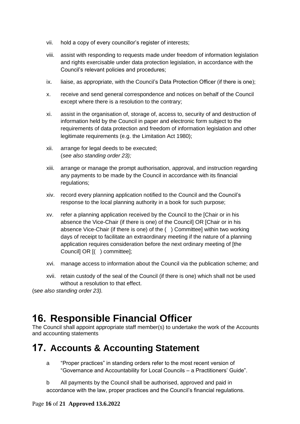- vii. hold a copy of every councillor's register of interests;
- viii. assist with responding to requests made under freedom of information legislation and rights exercisable under data protection legislation, in accordance with the Council's relevant policies and procedures;
- ix. liaise, as appropriate, with the Council's Data Protection Officer (if there is one);
- x. receive and send general correspondence and notices on behalf of the Council except where there is a resolution to the contrary;
- xi. assist in the organisation of, storage of, access to, security of and destruction of information held by the Council in paper and electronic form subject to the requirements of data protection and freedom of information legislation and other legitimate requirements (e.g. the Limitation Act 1980);
- xii. arrange for legal deeds to be executed; (*see also standing order 23);*
- xiii. arrange or manage the prompt authorisation, approval, and instruction regarding any payments to be made by the Council in accordance with its financial regulations;
- xiv. record every planning application notified to the Council and the Council's response to the local planning authority in a book for such purpose;
- xv. refer a planning application received by the Council to the [Chair or in his absence the Vice-Chair (if there is one) of the Council] OR [Chair or in his absence Vice-Chair (if there is one) of the ( ) Committee] within two working days of receipt to facilitate an extraordinary meeting if the nature of a planning application requires consideration before the next ordinary meeting of [the Council] OR [( ) committee];
- xvi. manage access to information about the Council via the publication scheme; and
- xvii. retain custody of the seal of the Council (if there is one) which shall not be used without a resolution to that effect.

(s*ee also standing order 23).*

## <span id="page-15-0"></span>**16. Responsible Financial Officer**

The Council shall appoint appropriate staff member(s) to undertake the work of the Accounts and accounting statements

## <span id="page-15-1"></span>**17. Accounts & Accounting Statement**

- a "Proper practices" in standing orders refer to the most recent version of "Governance and Accountability for Local Councils – a Practitioners' Guide".
- b All payments by the Council shall be authorised, approved and paid in accordance with the law, proper practices and the Council's financial regulations.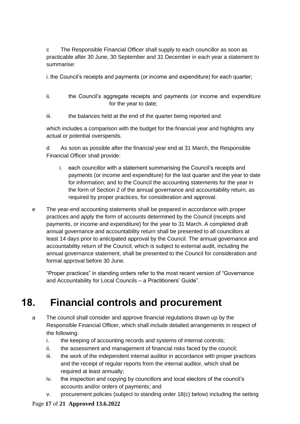c The Responsible Financial Officer shall supply to each councillor as soon as practicable after 30 June, 30 September and 31 December in each year a statement to summarise:

i. the Council's receipts and payments (or income and expenditure) for each quarter;

- ii. the Council's aggregate receipts and payments (or income and expenditure for the year to date;
- iii. the balances held at the end of the quarter being reported and

which includes a comparison with the budget for the financial year and highlights any actual or potential overspends.

d As soon as possible after the financial year end at 31 March, the Responsible Financial Officer shall provide:

- i. each councillor with a statement summarising the Council's receipts and payments (or income and expenditure) for the last quarter and the year to date for information; and to the Council the accounting statements for the year in the form of Section 2 of the annual governance and accountability return, as required by proper practices, for consideration and approval.
- e The year-end accounting statements shall be prepared in accordance with proper practices and apply the form of accounts determined by the Council (receipts and payments, or income and expenditure) for the year to 31 March. A completed draft annual governance and accountability return shall be presented to all councillors at least 14 days prior to anticipated approval by the Council. The annual governance and accountability return of the Council, which is subject to external audit, including the annual governance statement, shall be presented to the Council for consideration and formal approval before 30 June.

"Proper practices" in standing orders refer to the most recent version of "Governance and Accountability for Local Councils – a Practitioners' Guide".

## <span id="page-16-0"></span>**18. Financial controls and procurement**

- a The council shall consider and approve financial regulations drawn up by the Responsible Financial Officer, which shall include detailed arrangements in respect of the following:
	- i. the keeping of accounting records and systems of internal controls;
	- ii. the assessment and management of financial risks faced by the council;
	- iii. the work of the independent internal auditor in accordance with proper practices and the receipt of regular reports from the internal auditor, which shall be required at least annually;
	- iv. the inspection and copying by councillors and local electors of the council's accounts and/or orders of payments; and
	- v. procurement policies (subject to standing order 18(c) below) including the setting

#### Page **17** of **21 Approved 13.6.2022**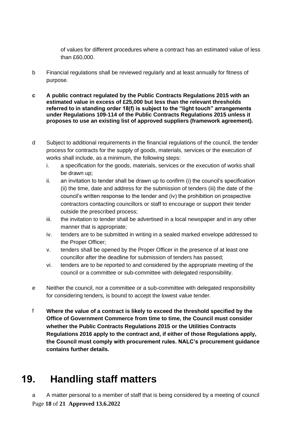of values for different procedures where a contract has an estimated value of less than £60,000.

- b Financial regulations shall be reviewed regularly and at least annually for fitness of purpose.
- **c A public contract regulated by the Public Contracts Regulations 2015 with an estimated value in excess of £25,000 but less than the relevant thresholds referred to in standing order 18(f) is subject to the "light touch" arrangements under Regulations 109-114 of the Public Contracts Regulations 2015 unless it proposes to use an existing list of approved suppliers (framework agreement).**
- d Subject to additional requirements in the financial regulations of the council, the tender process for contracts for the supply of goods, materials, services or the execution of works shall include, as a minimum, the following steps:
	- i. a specification for the goods, materials, services or the execution of works shall be drawn up;
	- ii. an invitation to tender shall be drawn up to confirm (i) the council's specification (ii) the time, date and address for the submission of tenders (iii) the date of the council's written response to the tender and (iv) the prohibition on prospective contractors contacting councillors or staff to encourage or support their tender outside the prescribed process;
	- iii. the invitation to tender shall be advertised in a local newspaper and in any other manner that is appropriate;
	- iv. tenders are to be submitted in writing in a sealed marked envelope addressed to the Proper Officer;
	- v. tenders shall be opened by the Proper Officer in the presence of at least one councillor after the deadline for submission of tenders has passed;
	- vi. tenders are to be reported to and considered by the appropriate meeting of the council or a committee or sub-committee with delegated responsibility.
- e Neither the council, nor a committee or a sub-committee with delegated responsibility for considering tenders, is bound to accept the lowest value tender.
- f **Where the value of a contract is likely to exceed the threshold specified by the Office of Government Commerce from time to time, the Council must consider whether the Public Contracts Regulations 2015 or the Utilities Contracts Regulations 2016 apply to the contract and, if either of those Regulations apply, the Council must comply with procurement rules. NALC's procurement guidance contains further details.**

# <span id="page-17-0"></span>**19. Handling staff matters**

Page **18** of **21 Approved 13.6.2022** a A matter personal to a member of staff that is being considered by a meeting of council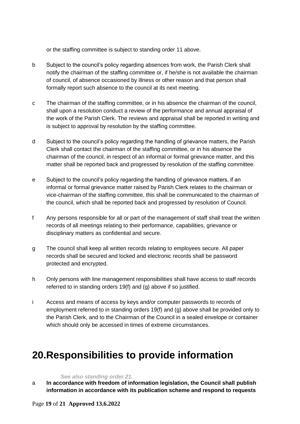or the staffing committee is subject to standing order 11 above.

- b Subject to the council's policy regarding absences from work, the Parish Clerk shall notify the chairman of the staffing committee or, if he/she is not available the chairman of council, of absence occasioned by illness or other reason and that person shall formally report such absence to the council at its next meeting.
- c The chairman of the staffing committee, or in his absence the chairman of the council, shall upon a resolution conduct a review of the performance and annual appraisal of the work of the Parish Clerk. The reviews and appraisal shall be reported in writing and is subject to approval by resolution by the staffing committee.
- d Subject to the council's policy regarding the handling of grievance matters, the Parish Clerk shall contact the chairman of the staffing committee, or in his absence the chairman of the council, in respect of an informal or formal grievance matter, and this matter shall be reported back and progressed by resolution of the staffing committee.
- e Subject to the council's policy regarding the handling of grievance matters, if an informal or formal grievance matter raised by Parish Clerk relates to the chairman or vice-chairman of the staffing committee, this shall be communicated to the chairman of the council, which shall be reported back and progressed by resolution of Council.
- f Any persons responsible for all or part of the management of staff shall treat the written records of all meetings relating to their performance, capabilities, grievance or disciplinary matters as confidential and secure.
- g The council shall keep all written records relating to employees secure. All paper records shall be secured and locked and electronic records shall be password protected and encrypted.
- h Only persons with line management responsibilities shall have access to staff records referred to in standing orders 19(f) and (g) above if so justified.
- i Access and means of access by keys and/or computer passwords to records of employment referred to in standing orders 19(f) and (g) above shall be provided only to the Parish Clerk, and to the Chairman of the Council in a sealed envelope or container which should only be accessed in times of extreme circumstances.

## <span id="page-18-0"></span>**20.Responsibilities to provide information**

#### *See also standing order 21.*

a **In accordance with freedom of information legislation, the Council shall publish information in accordance with its publication scheme and respond to requests**

Page **19** of **21 Approved 13.6.2022**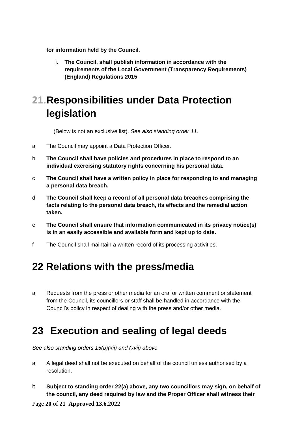**for information held by the Council.** 

i. **The Council, shall publish information in accordance with the requirements of the Local Government (Transparency Requirements) (England) Regulations 2015**.

# <span id="page-19-0"></span>**21.Responsibilities under Data Protection legislation**

(Below is not an exclusive list). *See also standing order 11.*

- a The Council may appoint a Data Protection Officer.
- b **The Council shall have policies and procedures in place to respond to an individual exercising statutory rights concerning his personal data.**
- c **The Council shall have a written policy in place for responding to and managing a personal data breach.**
- d **The Council shall keep a record of all personal data breaches comprising the facts relating to the personal data breach, its effects and the remedial action taken.**
- e **The Council shall ensure that information communicated in its privacy notice(s) is in an easily accessible and available form and kept up to date.**
- f The Council shall maintain a written record of its processing activities.

## <span id="page-19-1"></span>**22 Relations with the press/media**

a Requests from the press or other media for an oral or written comment or statement from the Council, its councillors or staff shall be handled in accordance with the Council's policy in respect of dealing with the press and/or other media.

## <span id="page-19-2"></span>**23 Execution and sealing of legal deeds**

*See also standing orders 15(b)(xii) and (xvii) above.*

- a A legal deed shall not be executed on behalf of the council unless authorised by a resolution.
- b **Subject to standing order 22(a) above, any two councillors may sign, on behalf of the council, any deed required by law and the Proper Officer shall witness their**

Page **20** of **21 Approved 13.6.2022**